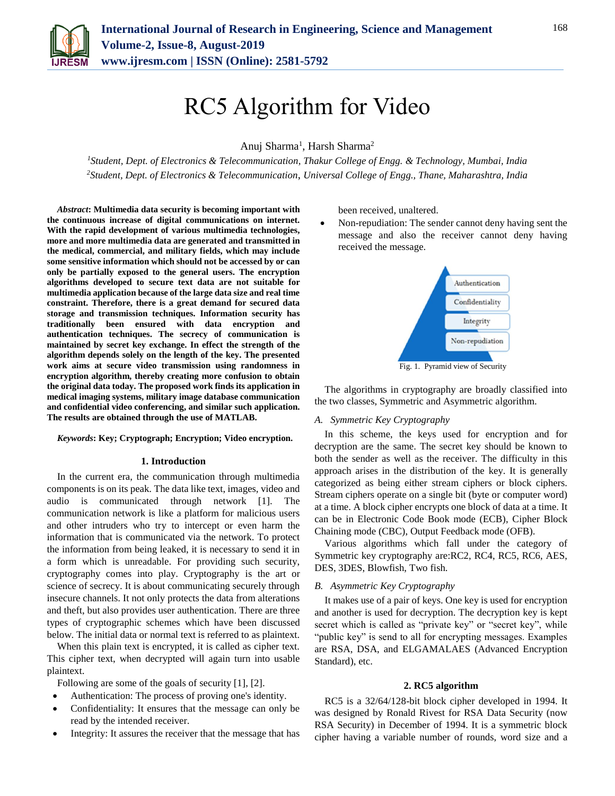

# RC5 Algorithm for Video

Anuj Sharma<sup>1</sup>, Harsh Sharma<sup>2</sup>

*<sup>1</sup>Student, Dept. of Electronics & Telecommunication, Thakur College of Engg. & Technology, Mumbai, India 2Student, Dept. of Electronics & Telecommunication*, *Universal College of Engg., Thane, Maharashtra, India*

*Abstract***: Multimedia data security is becoming important with the continuous increase of digital communications on internet. With the rapid development of various multimedia technologies, more and more multimedia data are generated and transmitted in the medical, commercial, and military fields, which may include some sensitive information which should not be accessed by or can only be partially exposed to the general users. The encryption algorithms developed to secure text data are not suitable for multimedia application because of the large data size and real time constraint. Therefore, there is a great demand for secured data storage and transmission techniques. Information security has traditionally been ensured with data encryption and authentication techniques. The secrecy of communication is maintained by secret key exchange. In effect the strength of the algorithm depends solely on the length of the key. The presented work aims at secure video transmission using randomness in encryption algorithm, thereby creating more confusion to obtain the original data today. The proposed work finds its application in medical imaging systems, military image database communication and confidential video conferencing, and similar such application. The results are obtained through the use of MATLAB.**

#### *Keywords***: Key; Cryptograph; Encryption; Video encryption.**

#### **1. Introduction**

In the current era, the communication through multimedia components is on its peak. The data like text, images, video and audio is communicated through network [1]. The communication network is like a platform for malicious users and other intruders who try to intercept or even harm the information that is communicated via the network. To protect the information from being leaked, it is necessary to send it in a form which is unreadable. For providing such security, cryptography comes into play. Cryptography is the art or science of secrecy. It is about communicating securely through insecure channels. It not only protects the data from alterations and theft, but also provides user authentication. There are three types of cryptographic schemes which have been discussed below. The initial data or normal text is referred to as plaintext.

When this plain text is encrypted, it is called as cipher text. This cipher text, when decrypted will again turn into usable plaintext.

Following are some of the goals of security [1], [2].

- Authentication: The process of proving one's identity.
- Confidentiality: It ensures that the message can only be read by the intended receiver.
- Integrity: It assures the receiver that the message that has

been received, unaltered.

 Non-repudiation: The sender cannot deny having sent the message and also the receiver cannot deny having received the message.



Fig. 1. Pyramid view of Security

The algorithms in cryptography are broadly classified into the two classes, Symmetric and Asymmetric algorithm.

#### *A. Symmetric Key Cryptography*

In this scheme, the keys used for encryption and for decryption are the same. The secret key should be known to both the sender as well as the receiver. The difficulty in this approach arises in the distribution of the key. It is generally categorized as being either stream ciphers or block ciphers. Stream ciphers operate on a single bit (byte or computer word) at a time. A block cipher encrypts one block of data at a time. It can be in Electronic Code Book mode (ECB), Cipher Block Chaining mode (CBC), Output Feedback mode (OFB).

Various algorithms which fall under the category of Symmetric key cryptography are:RC2, RC4, RC5, RC6, AES, DES, 3DES, Blowfish, Two fish.

# *B. Asymmetric Key Cryptography*

It makes use of a pair of keys. One key is used for encryption and another is used for decryption. The decryption key is kept secret which is called as "private key" or "secret key", while "public key" is send to all for encrypting messages. Examples are RSA, DSA, and ELGAMALAES (Advanced Encryption Standard), etc.

#### **2. RC5 algorithm**

RC5 is a 32/64/128-bit block cipher developed in 1994. It was designed by Ronald Rivest for RSA Data Security (now RSA Security) in December of 1994. It is a symmetric block cipher having a variable number of rounds, word size and a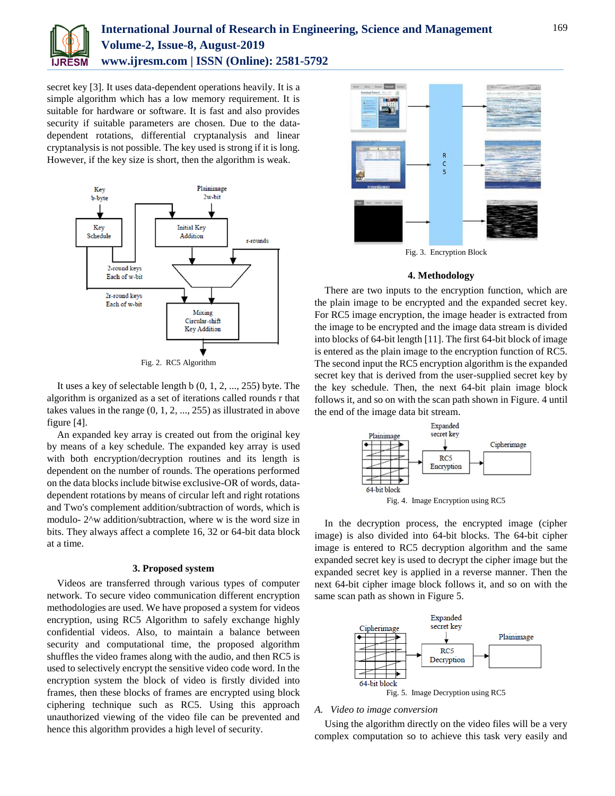

# **International Journal of Research in Engineering, Science and Management Volume-2, Issue-8, August-2019 www.ijresm.com | ISSN (Online): 2581-5792**

secret key [3]. It uses data-dependent operations heavily. It is a simple algorithm which has a low memory requirement. It is suitable for hardware or software. It is fast and also provides security if suitable parameters are chosen. Due to the datadependent rotations, differential cryptanalysis and linear cryptanalysis is not possible. The key used is strong if it is long. However, if the key size is short, then the algorithm is weak.



Fig. 2. RC5 Algorithm

It uses a key of selectable length b (0, 1, 2, ..., 255) byte. The algorithm is organized as a set of iterations called rounds r that takes values in the range (0, 1, 2, ..., 255) as illustrated in above figure [4].

An expanded key array is created out from the original key by means of a key schedule. The expanded key array is used with both encryption/decryption routines and its length is dependent on the number of rounds. The operations performed on the data blocks include bitwise exclusive-OR of words, datadependent rotations by means of circular left and right rotations and Two's complement addition/subtraction of words, which is modulo- 2^w addition/subtraction, where w is the word size in bits. They always affect a complete 16, 32 or 64-bit data block at a time.

#### **3. Proposed system**

Videos are transferred through various types of computer network. To secure video communication different encryption methodologies are used. We have proposed a system for videos encryption, using RC5 Algorithm to safely exchange highly confidential videos. Also, to maintain a balance between security and computational time, the proposed algorithm shuffles the video frames along with the audio, and then RC5 is used to selectively encrypt the sensitive video code word. In the encryption system the block of video is firstly divided into frames, then these blocks of frames are encrypted using block ciphering technique such as RC5. Using this approach unauthorized viewing of the video file can be prevented and hence this algorithm provides a high level of security.



Fig. 3. Encryption Block

#### **4. Methodology**

There are two inputs to the encryption function, which are the plain image to be encrypted and the expanded secret key. For RC5 image encryption, the image header is extracted from the image to be encrypted and the image data stream is divided into blocks of 64-bit length [11]. The first 64-bit block of image is entered as the plain image to the encryption function of RC5. The second input the RC5 encryption algorithm is the expanded secret key that is derived from the user-supplied secret key by the key schedule. Then, the next 64-bit plain image block follows it, and so on with the scan path shown in Figure. 4 until the end of the image data bit stream.



In the decryption process, the encrypted image (cipher image) is also divided into 64-bit blocks. The 64-bit cipher image is entered to RC5 decryption algorithm and the same expanded secret key is used to decrypt the cipher image but the expanded secret key is applied in a reverse manner. Then the next 64-bit cipher image block follows it, and so on with the same scan path as shown in Figure 5.



#### *A. Video to image conversion*

Using the algorithm directly on the video files will be a very complex computation so to achieve this task very easily and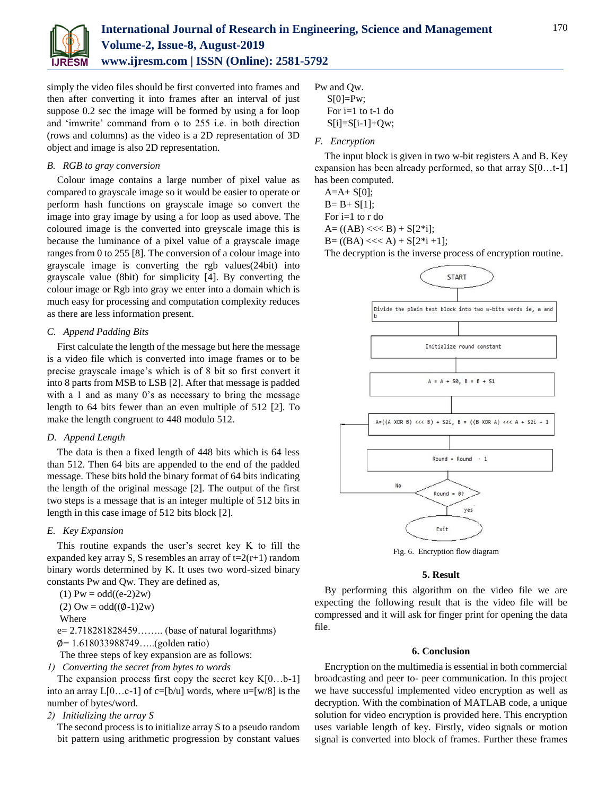

simply the video files should be first converted into frames and then after converting it into frames after an interval of just suppose 0.2 sec the image will be formed by using a for loop and 'imwrite' command from o to 255 i.e. in both direction (rows and columns) as the video is a 2D representation of 3D object and image is also 2D representation.

# *B. RGB to gray conversion*

Colour image contains a large number of pixel value as compared to grayscale image so it would be easier to operate or perform hash functions on grayscale image so convert the image into gray image by using a for loop as used above. The coloured image is the converted into greyscale image this is because the luminance of a pixel value of a grayscale image ranges from 0 to 255 [8]. The conversion of a colour image into grayscale image is converting the rgb values(24bit) into grayscale value (8bit) for simplicity [4]. By converting the colour image or Rgb into gray we enter into a domain which is much easy for processing and computation complexity reduces as there are less information present.

# *C. Append Padding Bits*

First calculate the length of the message but here the message is a video file which is converted into image frames or to be precise grayscale image's which is of 8 bit so first convert it into 8 parts from MSB to LSB [2]. After that message is padded with a 1 and as many 0's as necessary to bring the message length to 64 bits fewer than an even multiple of 512 [2]. To make the length congruent to 448 modulo 512.

# *D. Append Length*

The data is then a fixed length of 448 bits which is 64 less than 512. Then 64 bits are appended to the end of the padded message. These bits hold the binary format of 64 bits indicating the length of the original message [2]. The output of the first two steps is a message that is an integer multiple of 512 bits in length in this case image of 512 bits block [2].

# *E. Key Expansion*

This routine expands the user's secret key K to fill the expanded key array S, S resembles an array of  $t=2(r+1)$  random binary words determined by K. It uses two word-sized binary constants Pw and Qw. They are defined as,

 $(1) Pw = odd((e-2)2w)$ 

(2)  $\text{Ow} = \text{odd}((\emptyset - 1)2\text{w})$ 

Where

e= 2.718281828459…….. (base of natural logarithms)

∅= 1.618033988749…..(golden ratio)

The three steps of key expansion are as follows:

*1) Converting the secret from bytes to words* 

The expansion process first copy the secret key  $K[0...b-1]$ into an array  $L[0...c-1]$  of  $c=[b/u]$  words, where  $u=[w/8]$  is the number of bytes/word.

*2) Initializing the array S* 

The second process is to initialize array S to a pseudo random bit pattern using arithmetic progression by constant values

Pw and Qw.

 $S[0]=Pw;$ For  $i=1$  to  $t-1$  do  $S[i]=S[i-1]+Qw;$ 

# *F. Encryption*

The input block is given in two w-bit registers A and B. Key expansion has been already performed, so that array S[0…t-1] has been computed.

 $A=A+ S[0];$ 

 $B = B + S[1];$ 

For i=1 to r do  $A = ((AB) \ll B) + S[2^*i];$ 

 $B = ((BA) \ll A) + S[2*1+1];$ 

The decryption is the inverse process of encryption routine.



Fig. 6. Encryption flow diagram

# **5. Result**

By performing this algorithm on the video file we are expecting the following result that is the video file will be compressed and it will ask for finger print for opening the data file.

# **6. Conclusion**

Encryption on the multimedia is essential in both commercial broadcasting and peer to- peer communication. In this project we have successful implemented video encryption as well as decryption. With the combination of MATLAB code, a unique solution for video encryption is provided here. This encryption uses variable length of key. Firstly, video signals or motion signal is converted into block of frames. Further these frames